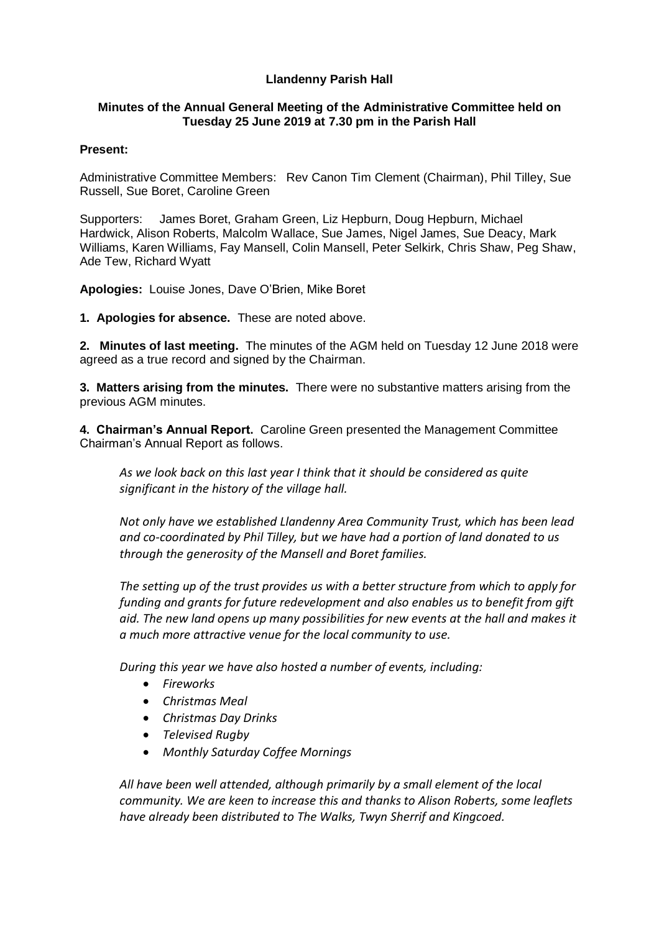## **Llandenny Parish Hall**

### **Minutes of the Annual General Meeting of the Administrative Committee held on Tuesday 25 June 2019 at 7.30 pm in the Parish Hall**

## **Present:**

Administrative Committee Members: Rev Canon Tim Clement (Chairman), Phil Tilley, Sue Russell, Sue Boret, Caroline Green

Supporters: James Boret, Graham Green, Liz Hepburn, Doug Hepburn, Michael Hardwick, Alison Roberts, Malcolm Wallace, Sue James, Nigel James, Sue Deacy, Mark Williams, Karen Williams, Fay Mansell, Colin Mansell, Peter Selkirk, Chris Shaw, Peg Shaw, Ade Tew, Richard Wyatt

**Apologies:** Louise Jones, Dave O'Brien, Mike Boret

**1. Apologies for absence.** These are noted above.

**2. Minutes of last meeting.** The minutes of the AGM held on Tuesday 12 June 2018 were agreed as a true record and signed by the Chairman.

**3. Matters arising from the minutes.** There were no substantive matters arising from the previous AGM minutes.

**4. Chairman's Annual Report.** Caroline Green presented the Management Committee Chairman's Annual Report as follows.

*As we look back on this last year I think that it should be considered as quite significant in the history of the village hall.*

*Not only have we established Llandenny Area Community Trust, which has been lead and co-coordinated by Phil Tilley, but we have had a portion of land donated to us through the generosity of the Mansell and Boret families.*

*The setting up of the trust provides us with a better structure from which to apply for funding and grants for future redevelopment and also enables us to benefit from gift aid. The new land opens up many possibilities for new events at the hall and makes it a much more attractive venue for the local community to use.*

*During this year we have also hosted a number of events, including:*

- *Fireworks*
- *Christmas Meal*
- *Christmas Day Drinks*
- *Televised Rugby*
- *Monthly Saturday Coffee Mornings*

*All have been well attended, although primarily by a small element of the local community. We are keen to increase this and thanks to Alison Roberts, some leaflets have already been distributed to The Walks, Twyn Sherrif and Kingcoed.*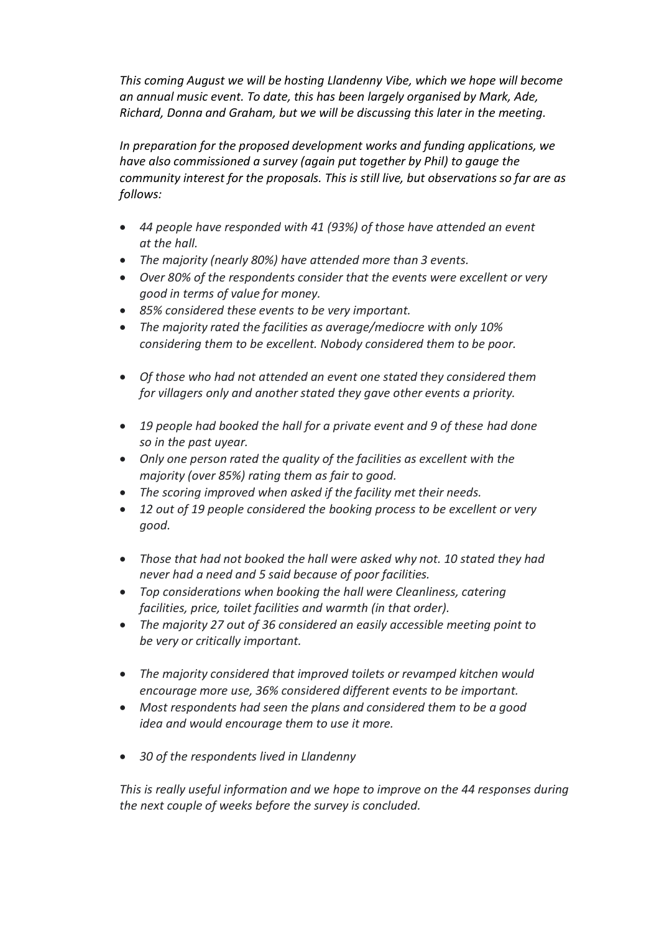*This coming August we will be hosting Llandenny Vibe, which we hope will become an annual music event. To date, this has been largely organised by Mark, Ade, Richard, Donna and Graham, but we will be discussing this later in the meeting.*

*In preparation for the proposed development works and funding applications, we have also commissioned a survey (again put together by Phil) to gauge the community interest for the proposals. This is still live, but observations so far are as follows:*

- *44 people have responded with 41 (93%) of those have attended an event at the hall.*
- *The majority (nearly 80%) have attended more than 3 events.*
- *Over 80% of the respondents consider that the events were excellent or very good in terms of value for money.*
- *85% considered these events to be very important.*
- *The majority rated the facilities as average/mediocre with only 10% considering them to be excellent. Nobody considered them to be poor.*
- *Of those who had not attended an event one stated they considered them for villagers only and another stated they gave other events a priority.*
- *19 people had booked the hall for a private event and 9 of these had done so in the past uyear.*
- *Only one person rated the quality of the facilities as excellent with the majority (over 85%) rating them as fair to good.*
- *The scoring improved when asked if the facility met their needs.*
- *12 out of 19 people considered the booking process to be excellent or very good.*
- *Those that had not booked the hall were asked why not. 10 stated they had never had a need and 5 said because of poor facilities.*
- *Top considerations when booking the hall were Cleanliness, catering facilities, price, toilet facilities and warmth (in that order).*
- *The majority 27 out of 36 considered an easily accessible meeting point to be very or critically important.*
- *The majority considered that improved toilets or revamped kitchen would encourage more use, 36% considered different events to be important.*
- *Most respondents had seen the plans and considered them to be a good idea and would encourage them to use it more.*
- *30 of the respondents lived in Llandenny*

*This is really useful information and we hope to improve on the 44 responses during the next couple of weeks before the survey is concluded.*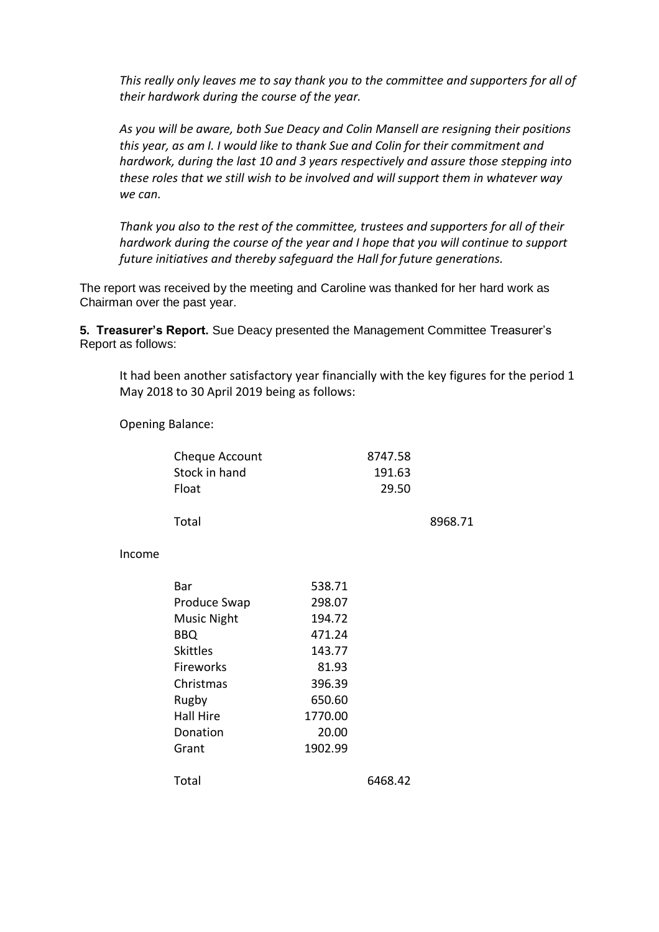*This really only leaves me to say thank you to the committee and supporters for all of their hardwork during the course of the year.* 

*As you will be aware, both Sue Deacy and Colin Mansell are resigning their positions this year, as am I. I would like to thank Sue and Colin for their commitment and hardwork, during the last 10 and 3 years respectively and assure those stepping into these roles that we still wish to be involved and will support them in whatever way we can.*

*Thank you also to the rest of the committee, trustees and supporters for all of their hardwork during the course of the year and I hope that you will continue to support future initiatives and thereby safeguard the Hall for future generations.*

The report was received by the meeting and Caroline was thanked for her hard work as Chairman over the past year.

**5. Treasurer's Report.** Sue Deacy presented the Management Committee Treasurer's Report as follows:

It had been another satisfactory year financially with the key figures for the period 1 May 2018 to 30 April 2019 being as follows:

Opening Balance:

|        | Cheque Account     |         | 8747.58 |         |
|--------|--------------------|---------|---------|---------|
|        | Stock in hand      |         | 191.63  |         |
|        | Float              |         | 29.50   |         |
|        | Total              |         |         | 8968.71 |
| Income |                    |         |         |         |
|        | Bar                | 538.71  |         |         |
|        | Produce Swap       | 298.07  |         |         |
|        | <b>Music Night</b> | 194.72  |         |         |
|        | <b>BBQ</b>         | 471.24  |         |         |
|        | <b>Skittles</b>    | 143.77  |         |         |
|        | Fireworks          | 81.93   |         |         |
|        | Christmas          | 396.39  |         |         |
|        | Rugby              | 650.60  |         |         |
|        | <b>Hall Hire</b>   | 1770.00 |         |         |
|        | Donation           | 20.00   |         |         |
|        | Grant              | 1902.99 |         |         |
|        | Total              |         | 6468.42 |         |
|        |                    |         |         |         |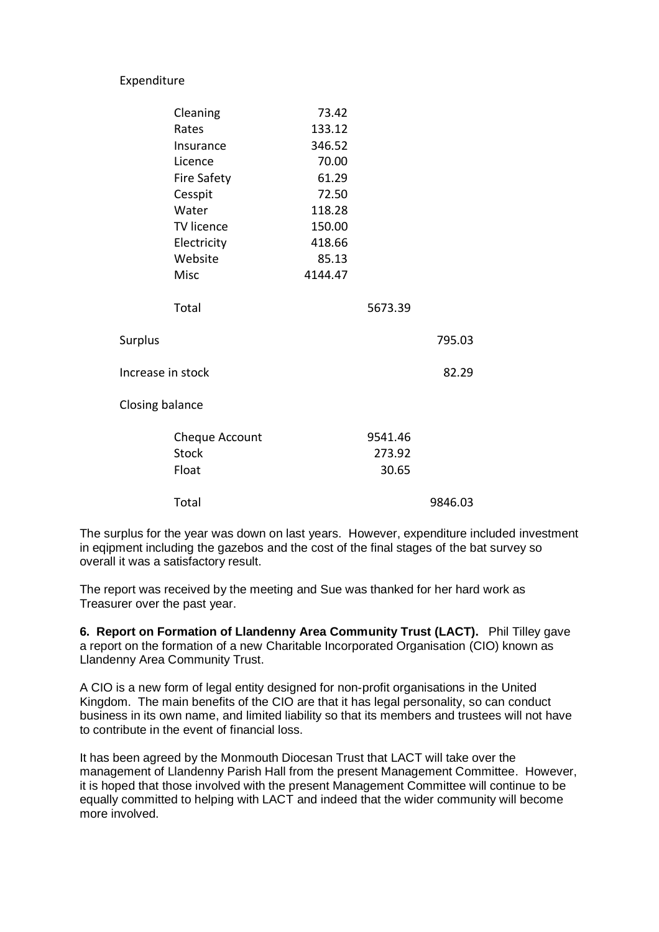### Expenditure

|                   | Cleaning           | 73.42   |         |         |  |  |  |
|-------------------|--------------------|---------|---------|---------|--|--|--|
|                   | Rates              | 133.12  |         |         |  |  |  |
|                   | Insurance          | 346.52  |         |         |  |  |  |
|                   | Licence            | 70.00   |         |         |  |  |  |
|                   | <b>Fire Safety</b> | 61.29   |         |         |  |  |  |
|                   | Cesspit            | 72.50   |         |         |  |  |  |
|                   | Water              | 118.28  |         |         |  |  |  |
|                   | TV licence         | 150.00  |         |         |  |  |  |
|                   | Electricity        | 418.66  |         |         |  |  |  |
|                   | Website            | 85.13   |         |         |  |  |  |
|                   | <b>Misc</b>        | 4144.47 |         |         |  |  |  |
|                   |                    |         |         |         |  |  |  |
|                   | Total              |         | 5673.39 |         |  |  |  |
|                   |                    |         |         |         |  |  |  |
| Surplus           |                    |         |         | 795.03  |  |  |  |
|                   |                    |         |         |         |  |  |  |
| Increase in stock |                    |         |         | 82.29   |  |  |  |
|                   |                    |         |         |         |  |  |  |
| Closing balance   |                    |         |         |         |  |  |  |
|                   |                    |         |         |         |  |  |  |
|                   | Cheque Account     |         | 9541.46 |         |  |  |  |
|                   | <b>Stock</b>       |         | 273.92  |         |  |  |  |
|                   | Float              |         | 30.65   |         |  |  |  |
|                   |                    |         |         |         |  |  |  |
|                   | Total              |         |         | 9846.03 |  |  |  |

The surplus for the year was down on last years. However, expenditure included investment in eqipment including the gazebos and the cost of the final stages of the bat survey so overall it was a satisfactory result.

The report was received by the meeting and Sue was thanked for her hard work as Treasurer over the past year.

**6. Report on Formation of Llandenny Area Community Trust (LACT).** Phil Tilley gave a report on the formation of a new Charitable Incorporated Organisation (CIO) known as Llandenny Area Community Trust.

A CIO is a new form of legal entity designed for non-profit organisations in the United Kingdom. The main benefits of the CIO are that it has legal personality, so can conduct business in its own name, and limited liability so that its members and trustees will not have to contribute in the event of financial loss.

It has been agreed by the Monmouth Diocesan Trust that LACT will take over the management of Llandenny Parish Hall from the present Management Committee. However, it is hoped that those involved with the present Management Committee will continue to be equally committed to helping with LACT and indeed that the wider community will become more involved.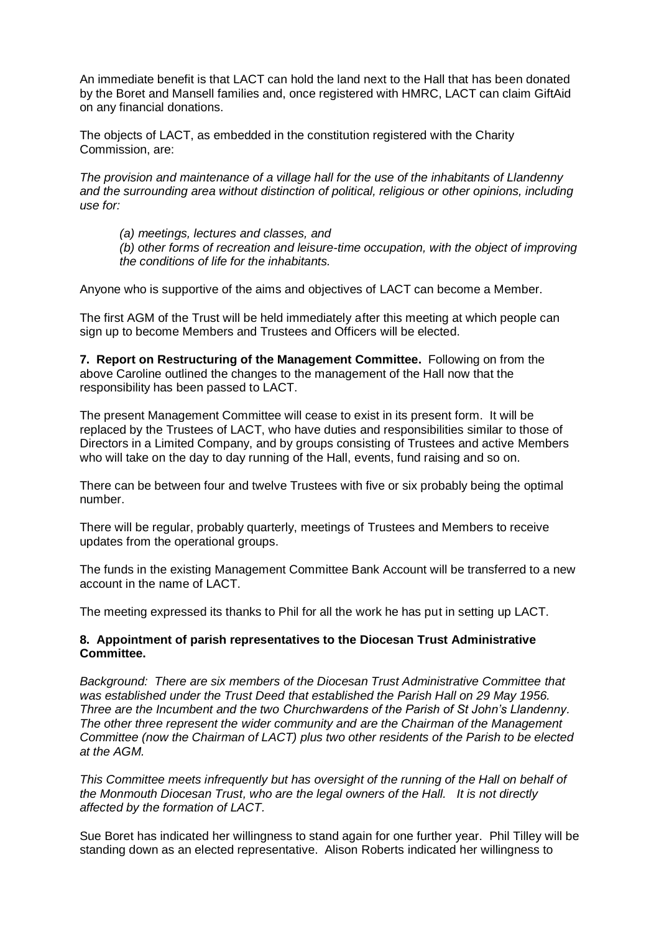An immediate benefit is that LACT can hold the land next to the Hall that has been donated by the Boret and Mansell families and, once registered with HMRC, LACT can claim GiftAid on any financial donations.

The objects of LACT, as embedded in the constitution registered with the Charity Commission, are:

*The provision and maintenance of a village hall for the use of the inhabitants of Llandenny and the surrounding area without distinction of political, religious or other opinions, including use for:* 

- *(a) meetings, lectures and classes, and*
- *(b) other forms of recreation and leisure-time occupation, with the object of improving the conditions of life for the inhabitants.*

Anyone who is supportive of the aims and objectives of LACT can become a Member.

The first AGM of the Trust will be held immediately after this meeting at which people can sign up to become Members and Trustees and Officers will be elected.

**7. Report on Restructuring of the Management Committee.** Following on from the above Caroline outlined the changes to the management of the Hall now that the responsibility has been passed to LACT.

The present Management Committee will cease to exist in its present form. It will be replaced by the Trustees of LACT, who have duties and responsibilities similar to those of Directors in a Limited Company, and by groups consisting of Trustees and active Members who will take on the day to day running of the Hall, events, fund raising and so on.

There can be between four and twelve Trustees with five or six probably being the optimal number.

There will be regular, probably quarterly, meetings of Trustees and Members to receive updates from the operational groups.

The funds in the existing Management Committee Bank Account will be transferred to a new account in the name of LACT.

The meeting expressed its thanks to Phil for all the work he has put in setting up LACT.

#### **8. Appointment of parish representatives to the Diocesan Trust Administrative Committee.**

*Background: There are six members of the Diocesan Trust Administrative Committee that was established under the Trust Deed that established the Parish Hall on 29 May 1956. Three are the Incumbent and the two Churchwardens of the Parish of St John's Llandenny. The other three represent the wider community and are the Chairman of the Management Committee (now the Chairman of LACT) plus two other residents of the Parish to be elected at the AGM.*

*This Committee meets infrequently but has oversight of the running of the Hall on behalf of the Monmouth Diocesan Trust, who are the legal owners of the Hall. It is not directly affected by the formation of LACT.*

Sue Boret has indicated her willingness to stand again for one further year. Phil Tilley will be standing down as an elected representative. Alison Roberts indicated her willingness to